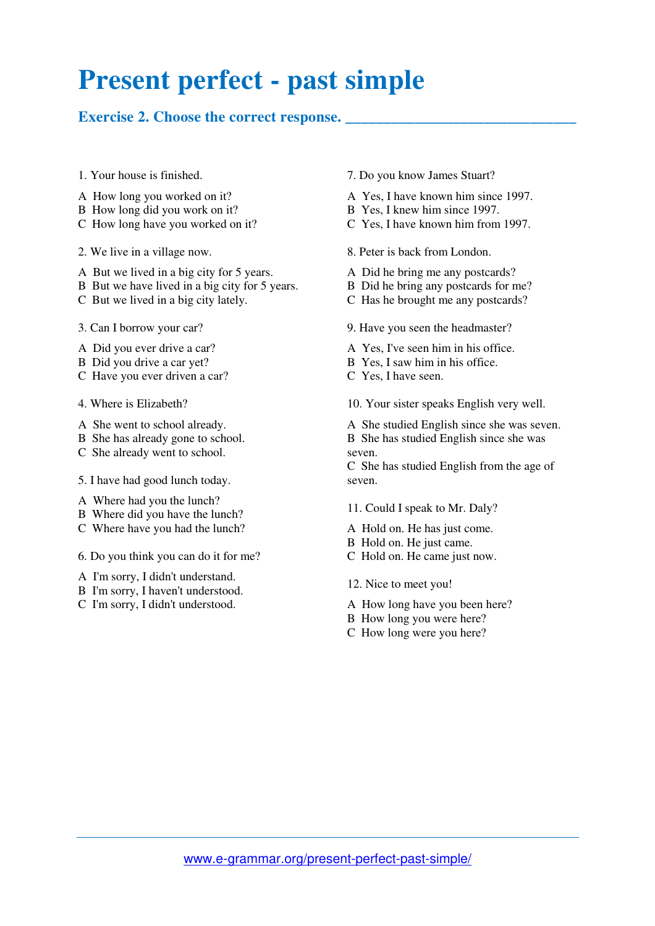## **Present perfect - past simple**

## Exercise 2. Choose the correct response.

- 1. Your house is finished.
- A How long you worked on it?
- B How long did you work on it?
- C How long have you worked on it?
- 2. We live in a village now.
- A But we lived in a big city for 5 years.
- B But we have lived in a big city for 5 years.
- C But we lived in a big city lately.
- 3. Can I borrow your car?
- A Did you ever drive a car?
- B Did you drive a car yet?
- C Have you ever driven a car?
- 4. Where is Elizabeth?
- A She went to school already.
- B She has already gone to school.
- C She already went to school.
- 5. I have had good lunch today.
- A Where had you the lunch?
- B Where did you have the lunch?
- C Where have you had the lunch?
- 6. Do you think you can do it for me?
- A I'm sorry, I didn't understand.
- B I'm sorry, I haven't understood.
- C I'm sorry, I didn't understood.
- 7. Do you know James Stuart?
- A Yes, I have known him since 1997.
- B Yes, I knew him since 1997.
- C Yes, I have known him from 1997.
- 8. Peter is back from London.
- A Did he bring me any postcards?
- B Did he bring any postcards for me?
- C Has he brought me any postcards?
- 9. Have you seen the headmaster?
- A Yes, I've seen him in his office.
- B Yes, I saw him in his office.
- C Yes, I have seen.

10. Your sister speaks English very well.

- A She studied English since she was seven.
- B She has studied English since she was seven.

C She has studied English from the age of seven.

- 11. Could I speak to Mr. Daly?
- A Hold on. He has just come.
- B Hold on. He just came.
- C Hold on. He came just now.
- 12. Nice to meet you!
- A How long have you been here?
- B How long you were here?
- C How long were you here?